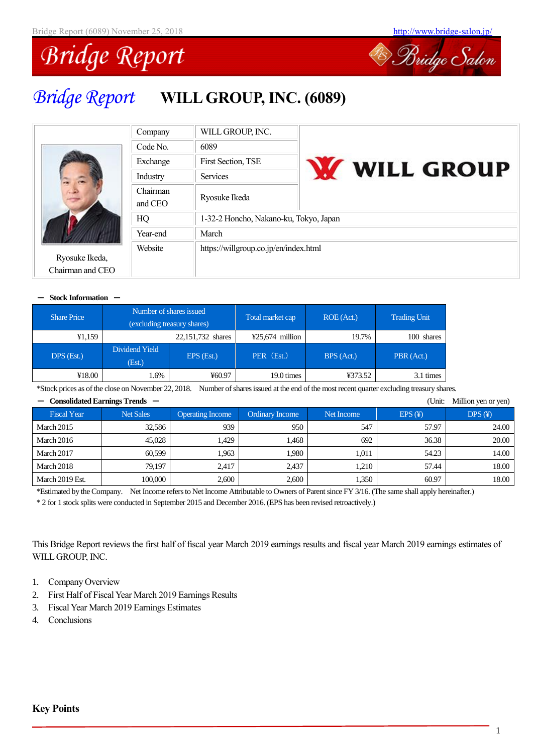

# *Bridge Report* **WILL GROUP, INC. (6089)**



| Company             | WILL GROUP, INC.                       |                   |
|---------------------|----------------------------------------|-------------------|
| Code No.            | 6089                                   |                   |
| Exchange            | First Section, TSE                     |                   |
| Industry            | <b>Services</b>                        | <b>WELL GROUP</b> |
| Chairman<br>and CEO | Ryosuke Ikeda                          |                   |
| HQ                  | 1-32-2 Honcho, Nakano-ku, Tokyo, Japan |                   |
| Year-end            | March                                  |                   |
| Website             | https://willgroup.co.jp/en/index.html  |                   |

#### - **Stock Information** -

Ryosuke Ikeda, Chairman and CEO

| <b>Share Price</b> | Number of shares issued<br>(excluding treasury shares) |                   | Total market cap  |            | ROE (Act.) | <b>Trading Unit</b> |
|--------------------|--------------------------------------------------------|-------------------|-------------------|------------|------------|---------------------|
| ¥1,159             |                                                        | 22,151,732 shares | $425,674$ million | 19.7%      | 100 shares |                     |
| $DPS$ (Est.)       | Dividend Yield<br>(Est.)                               | EPS (Est.)        | PER (Est.)        | BPS (Act.) | PBR (Act.) |                     |
| ¥18.00             | .6%                                                    | ¥60.97            | 19.0 times        | ¥373.52    | 3.1 times  |                     |

\*Stock prices as of the close on November 22, 2018. Number of shares issued at the end of the most recent quarter excluding treasury shares.

|                    | Consolidated Earnings Trends — |                         |                        |            | (Unit: | Million yen or yen) |
|--------------------|--------------------------------|-------------------------|------------------------|------------|--------|---------------------|
| <b>Fiscal Year</b> | <b>Net Sales</b>               | <b>Operating Income</b> | <b>Ordinary Income</b> | Net Income | EPS(F) | DPS(F)              |
| March 2015         | 32.586                         | 939                     | 950                    | 547        | 57.97  | 24.00               |
| <b>March 2016</b>  | 45,028                         | 1.429                   | 1.468                  | 692        | 36.38  | 20.00               |
| March 2017         | 60.599                         | 1.963                   | 1.980                  | 1.011      | 54.23  | 14.00               |
| March 2018         | 79.197                         | 2.417                   | 2.437                  | 1.210      | 57.44  | 18.00               |
| March 2019 Est.    | 100,000                        | 2,600                   | 2,600                  | 1,350      | 60.97  | 18.00               |

\*Estimated by the Company. Net Income refersto Net Income Attributable to Owners of Parent since FY 3/16. (The same shall apply hereinafter.) \* 2 for 1 stock splits were conducted in September 2015 and December 2016. (EPS has been revised retroactively.)

This Bridge Report reviews the first half of fiscal year March 2019 earnings results and fiscal year March 2019 earnings estimates of WILLGROUP, INC.

- 1. Company Overview
- 2. First Half of Fiscal Year March 2019 Earnings Results
- 3. Fiscal Year March 2019 Earnings Estimates
- 4. Conclusions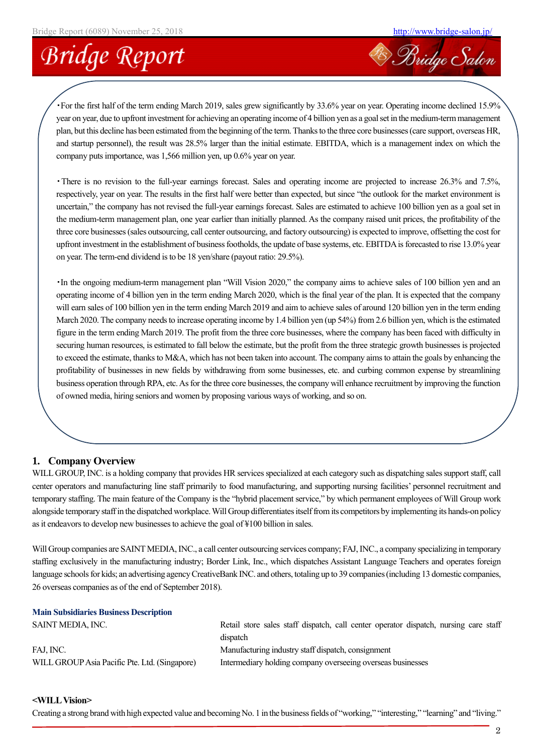**Bridge Salon** 

# **Bridge Report**

・For the first half of the term ending March 2019, sales grew significantly by 33.6% year on year. Operating income declined 15.9% year on year, due to upfront investment for achieving an operating income of 4 billion yen as a goal set in the medium-term management plan, but this decline has been estimated from the beginning of the term. Thanks to the three core businesses (care support, overseas HR, and startup personnel), the result was 28.5% larger than the initial estimate. EBITDA, which is a management index on which the company puts importance, was 1,566 million yen, up 0.6% year on year.

・There is no revision to the full-year earnings forecast. Sales and operating income are projected to increase 26.3% and 7.5%, respectively, year on year. The results in the first half were better than expected, but since "the outlook for the market environment is uncertain," the company has not revised the full-year earnings forecast. Sales are estimated to achieve 100 billion yen as a goal set in the medium-term management plan, one year earlier than initially planned. As the company raised unit prices, the profitability of the three core businesses (sales outsourcing, call center outsourcing, and factory outsourcing) is expected to improve, offsetting the cost for upfront investment in the establishment of business footholds, the update of base systems, etc. EBITDA is forecasted to rise 13.0% year on year. The term-end dividend is to be 18 yen/share (payout ratio: 29.5%).

・In the ongoing medium-term management plan "Will Vision 2020," the company aims to achieve sales of 100 billion yen and an operating income of 4 billion yen in the term ending March 2020, which is the final year of the plan. It is expected that the company will earn sales of 100 billion yen in the term ending March 2019 and aim to achieve sales of around 120 billion yen in the term ending March 2020. The company needs to increase operating income by 1.4 billion yen (up 54%) from 2.6 billion yen, which is the estimated figure in the term ending March 2019. The profit from the three core businesses, where the company has been faced with difficulty in securing human resources, is estimated to fall below the estimate, but the profit from the three strategic growth businesses is projected to exceed the estimate, thanks to M&A, which has not been taken into account. The company aims to attain the goals by enhancing the profitability of businesses in new fields by withdrawing from some businesses, etc. and curbing common expense by streamlining business operation through RPA, etc. As for the three core businesses, the company will enhance recruitment by improving the function of owned media, hiring seniors and women by proposing various ways of working, and so on.

## **1. Company Overview**

WILL GROUP, INC. is a holding company that provides HR services specialized at each category such as dispatching sales support staff, call center operators and manufacturing line staff primarily to food manufacturing, and supporting nursing facilities' personnel recruitment and temporary staffing. The main feature of the Company is the "hybrid placement service," by which permanent employees of Will Group work alongside temporary staff in the dispatched workplace. Will Group differentiates itself from its competitors by implementing its hands-on policy as it endeavors to develop new businesses to achieve the goal of ¥100 billion in sales.

Will Group companies are SAINT MEDIA, INC., a call center outsourcing services company; FAJ, INC., a company specializing in temporary staffing exclusively in the manufacturing industry; Border Link, Inc., which dispatches Assistant Language Teachers and operates foreign language schools for kids; an advertising agency CreativeBank INC. and others, totaling up to 39 companies (including 13 domestic companies, 26 overseas companies as of the end of September 2018).

### **Main Subsidiaries Business Description**

| SAINT MEDIA, INC.                             | Retail store sales staff dispatch, call center operator dispatch, nursing care staff |
|-----------------------------------------------|--------------------------------------------------------------------------------------|
|                                               | dispatch                                                                             |
| FAJ. INC.                                     | Manufacturing industry staff dispatch, consignment                                   |
| WILL GROUP Asia Pacific Pte. Ltd. (Singapore) | Intermediary holding company overseeing overseas businesses                          |

#### **<WILLVision>**

Creating a strong brand with high expected value and becoming No. 1 in the business fields of "working," "interesting," "learning" and "living."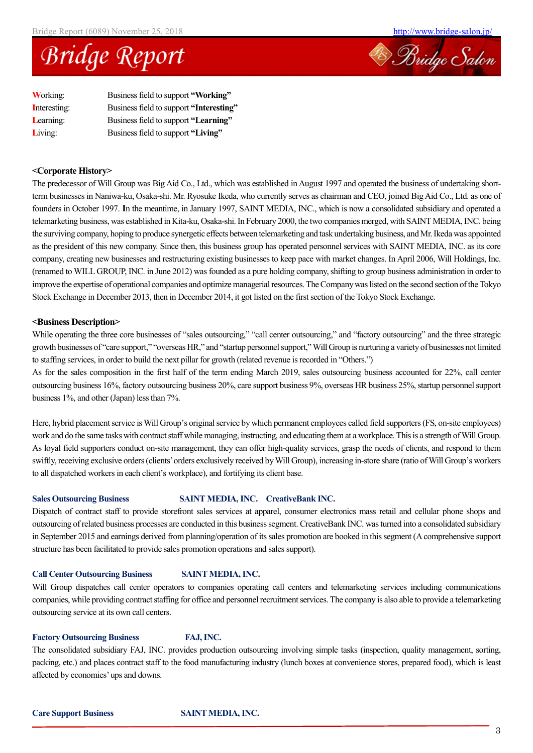



| <b>Working:</b> | Business field to support "Working"     |
|-----------------|-----------------------------------------|
| Interesting:    | Business field to support "Interesting" |
| Learning:       | Business field to support "Learning"    |
| Living:         | Business field to support "Living"      |

#### **<Corporate History>**

The predecessor of Will Group was Big Aid Co., Ltd., which was established in August 1997 and operated the business of undertaking shortterm businesses in Naniwa-ku, Osaka-shi. Mr. Ryosuke Ikeda, who currently serves as chairman and CEO, joined Big Aid Co., Ltd. as one of founders in October 1997. **I**n the meantime, in January 1997, SAINT MEDIA, INC., which is now a consolidated subsidiary and operated a telemarketing business, was established in Kita-ku, Osaka-shi. In February 2000, the two companies merged, with SAINT MEDIA, INC. being the surviving company, hoping to produce synergetic effects between telemarketing and task undertaking business, and Mr. Ikeda was appointed as the president of this new company. Since then, this business group has operated personnel services with SAINT MEDIA, INC. as its core company, creating new businesses and restructuring existing businesses to keep pace with market changes. In April 2006, Will Holdings, Inc. (renamed to WILL GROUP, INC. in June 2012) was founded as a pure holding company, shifting to group business administration in order to improve the expertise of operational companies and optimize managerial resources. The Company was listed on the second section of the Tokyo Stock Exchange in December 2013, then in December 2014, it got listed on the first section of the Tokyo Stock Exchange.

#### **<Business Description>**

While operating the three core businesses of "sales outsourcing," "call center outsourcing," and "factory outsourcing" and the three strategic growth businesses of "care support," "overseas HR," and "startup personnel support," Will Group is nurturing a variety of businesses not limited to staffing services, in order to build the next pillar for growth (related revenue is recorded in "Others.")

As for the sales composition in the first half of the term ending March 2019, sales outsourcing business accounted for 22%, call center outsourcing business 16%, factory outsourcing business 20%, care support business 9%, overseas HR business 25%, startup personnel support business 1%, and other (Japan) less than 7%.

Here, hybrid placement service is Will Group's original service by which permanent employees called field supporters(FS, on-site employees) work and do the same tasks with contract staff while managing, instructing, and educating them at a workplace. This is a strength of Will Group. As loyal field supporters conduct on-site management, they can offer high-quality services, grasp the needs of clients, and respond to them swiftly, receiving exclusive orders (clients' orders exclusively received by Will Group), increasing in-store share (ratio of Will Group's workers to all dispatched workers in each client's workplace), and fortifying its client base.

#### **Sales Outsourcing Business SAINT MEDIA, INC. CreativeBank INC.**

Dispatch of contract staff to provide storefront sales services at apparel, consumer electronics mass retail and cellular phone shops and outsourcing of related business processes are conducted in this business segment. CreativeBank INC. was turned into a consolidated subsidiary in September 2015 and earnings derived from planning/operation of its sales promotion are booked in this segment (A comprehensive support structure has been facilitated to provide sales promotion operations and sales support).

#### **Call Center Outsourcing Business SAINT MEDIA, INC.**

Will Group dispatches call center operators to companies operating call centers and telemarketing services including communications companies, while providing contract staffing for office and personnel recruitment services. The company is also able to provide a telemarketing outsourcing service at its own call centers.

#### **Factory Outsourcing Business FAJ, INC.**

The consolidated subsidiary FAJ, INC. provides production outsourcing involving simple tasks (inspection, quality management, sorting, packing, etc.) and places contract staff to the food manufacturing industry (lunch boxes at convenience stores, prepared food), which is least affected by economies' ups and downs.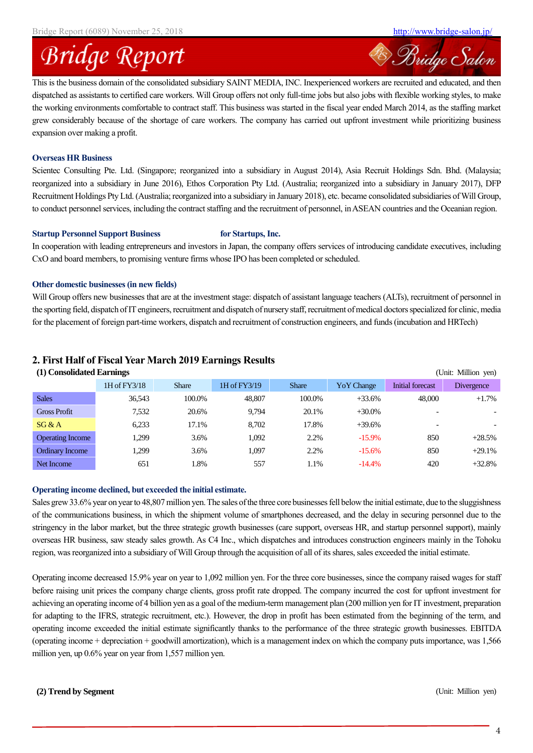**Bridge Salon** 

# **Bridge Report**

This is the business domain of the consolidated subsidiary SAINT MEDIA, INC. Inexperienced workers are recruited and educated, and then dispatched as assistants to certified care workers. Will Group offers not only full-time jobs but also jobs with flexible working styles, to make the working environments comfortable to contract staff. This business was started in the fiscal year ended March 2014, as the staffing market grew considerably because of the shortage of care workers. The company has carried out upfront investment while prioritizing business expansion over making a profit.

#### **Overseas HR Business**

Scientec Consulting Pte. Ltd. (Singapore; reorganized into a subsidiary in August 2014), Asia Recruit Holdings Sdn. Bhd. (Malaysia; reorganized into a subsidiary in June 2016), Ethos Corporation Pty Ltd. (Australia; reorganized into a subsidiary in January 2017), DFP Recruitment Holdings Pty Ltd. (Australia; reorganized into a subsidiary in January 2018), etc. became consolidated subsidiaries of Will Group, to conduct personnel services, including the contract staffing and the recruitment of personnel, in ASEAN countries and the Oceanian region.

#### **Startup Personnel Support Business for Startups, Inc.**

In cooperation with leading entrepreneurs and investors in Japan, the company offers services of introducing candidate executives, including CxO and board members, to promising venture firms whose IPO has been completed or scheduled.

#### **Other domestic businesses (in new fields)**

Will Group offers new businesses that are at the investment stage: dispatch of assistant language teachers (ALTs), recruitment of personnel in the sporting field, dispatch of IT engineers, recruitment and dispatch of nursery staff, recruitment of medical doctors specialized for clinic, media for the placement of foreign part-time workers, dispatch and recruitment of construction engineers, and funds (incubation and HRTech)

## **2. First Half of Fiscal Year March 2019 Earnings Results**

| (1) Consolidated Earnings |              |              |              |              |                   |                          | (Unit: Million yen) |
|---------------------------|--------------|--------------|--------------|--------------|-------------------|--------------------------|---------------------|
|                           | 1H of FY3/18 | <b>Share</b> | 1H of FY3/19 | <b>Share</b> | <b>YoY</b> Change | Initial forecast         | <b>Divergence</b>   |
| <b>Sales</b>              | 36,543       | 100.0%       | 48,807       | 100.0%       | $+33.6%$          | 48,000                   | $+1.7%$             |
| <b>Gross Profit</b>       | 7,532        | 20.6%        | 9.794        | 20.1%        | $+30.0\%$         | $\overline{\phantom{0}}$ |                     |
| SG & A                    | 6,233        | 17.1%        | 8.702        | 17.8%        | $+39.6%$          | $\overline{\phantom{0}}$ |                     |
| <b>Operating Income</b>   | 1,299        | 3.6%         | 1.092        | 2.2%         | $-15.9\%$         | 850                      | $+28.5%$            |
| <b>Ordinary Income</b>    | 1.299        | 3.6%         | 1.097        | 2.2%         | $-15.6%$          | 850                      | $+29.1%$            |
| Net Income                | 651          | l.8%         | 557          | 1.1%         | $-14.4%$          | 420                      | $+32.8%$            |

#### **Operating income declined, but exceeded the initial estimate.**

Sales grew 33.6% year on year to 48,807 million yen. The sales of the three core businesses fell below the initial estimate, due to the sluggishness of the communications business, in which the shipment volume of smartphones decreased, and the delay in securing personnel due to the stringency in the labor market, but the three strategic growth businesses (care support, overseas HR, and startup personnel support), mainly overseas HR business, saw steady sales growth. As C4 Inc., which dispatches and introduces construction engineers mainly in the Tohoku region, was reorganized into a subsidiary of Will Group through the acquisition of all of its shares, sales exceeded the initial estimate.

Operating income decreased 15.9% year on year to 1,092 million yen. For the three core businesses, since the company raised wages for staff before raising unit prices the company charge clients, gross profit rate dropped. The company incurred the cost for upfront investment for achieving an operating income of 4 billion yen as a goal of the medium-term management plan (200 million yen for IT investment, preparation for adapting to the IFRS, strategic recruitment, etc.). However, the drop in profit has been estimated from the beginning of the term, and operating income exceeded the initial estimate significantly thanks to the performance of the three strategic growth businesses. EBITDA (operating income + depreciation + goodwill amortization), which is a management index on which the company puts importance, was 1,566 million yen, up 0.6% year on year from 1,557 million yen.

#### **(2) Trend by Segment** (Unit: Million yen)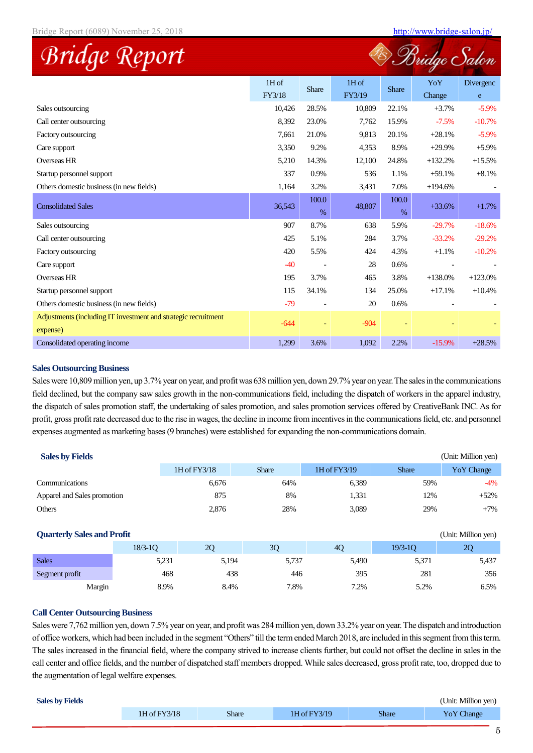|                                                                            |                   |               |                   |               | (Bridge       |                        |
|----------------------------------------------------------------------------|-------------------|---------------|-------------------|---------------|---------------|------------------------|
|                                                                            | $1H$ of<br>FY3/18 | <b>Share</b>  | $1H$ of<br>FY3/19 | <b>Share</b>  | YoY<br>Change | Divergenc<br>${\bf e}$ |
| Sales outsourcing                                                          | 10,426            | 28.5%         | 10,809            | 22.1%         | $+3.7%$       | $-5.9\%$               |
| Call center outsourcing                                                    | 8.392             | 23.0%         | 7,762             | 15.9%         | $-7.5%$       | $-10.7%$               |
| Factory outsourcing                                                        | 7,661             | 21.0%         | 9,813             | 20.1%         | $+28.1%$      | $-5.9\%$               |
| Care support                                                               | 3,350             | 9.2%          | 4,353             | 8.9%          | $+29.9%$      | $+5.9\%$               |
| <b>Overseas HR</b>                                                         | 5,210             | 14.3%         | 12,100            | 24.8%         | $+132.2%$     | $+15.5%$               |
| Startup personnel support                                                  | 337               | 0.9%          | 536               | 1.1%          | $+59.1%$      | $+8.1%$                |
| Others domestic business (in new fields)                                   | 1,164             | 3.2%          | 3,431             | 7.0%          | $+194.6%$     |                        |
| <b>Consolidated Sales</b>                                                  | 36,543            | 100.0<br>$\%$ | 48,807            | 100.0<br>$\%$ | $+33.6%$      | $+1.7%$                |
| Sales outsourcing                                                          | 907               | 8.7%          | 638               | 5.9%          | $-29.7%$      | $-18.6%$               |
| Call center outsourcing                                                    | 425               | 5.1%          | 284               | 3.7%          | $-33.2%$      | $-29.2%$               |
| Factory outsourcing                                                        | 420               | 5.5%          | 424               | 4.3%          | $+1.1%$       | $-10.2%$               |
| Care support                                                               | $-40$             |               | 28                | 0.6%          |               |                        |
| <b>Overseas HR</b>                                                         | 195               | 3.7%          | 465               | 3.8%          | $+138.0%$     | $+123.0%$              |
| Startup personnel support                                                  | 115               | 34.1%         | 134               | 25.0%         | $+17.1%$      | $+10.4%$               |
| Others domestic business (in new fields)                                   | $-79$             |               | 20                | 0.6%          |               |                        |
| Adjustments (including IT investment and strategic recruitment<br>expense) | $-644$            |               | $-904$            |               |               |                        |
| Consolidated operating income                                              | 1,299             | 3.6%          | 1,092             | 2.2%          | $-15.9%$      | $+28.5%$               |

#### **Sales Outsourcing Business**

Sales were 10,809 million yen, up 3.7% year on year, and profit was 638 million yen, down 29.7% year on year. The sales in the communications field declined, but the company saw sales growth in the non-communications field, including the dispatch of workers in the apparel industry, the dispatch of sales promotion staff, the undertaking of sales promotion, and sales promotion services offered by CreativeBank INC. As for profit, gross profit rate decreased due to the rise in wages, the decline in income from incentives in the communications field, etc. and personnel expenses augmented as marketing bases (9 branches) were established for expanding the non-communications domain.

| <b>Sales by Fields</b>            |             |              |              |              |              | (Unit: Million yen) |
|-----------------------------------|-------------|--------------|--------------|--------------|--------------|---------------------|
|                                   |             | 1H of FY3/18 | <b>Share</b> | 1H of FY3/19 | <b>Share</b> | Yo Y Change         |
| Communications                    |             | 6,676        | 64%          | 6,389        | 59%          | $-4\%$              |
| Apparel and Sales promotion       |             | 875          | 8%           | 1,331        | 12%          | $+52%$              |
| Others                            |             | 2,876        | 28%          | 3,089        | 29%          | $+7\%$              |
|                                   |             |              |              |              |              |                     |
| <b>Quarterly Sales and Profit</b> |             |              |              |              |              | (Unit: Million yen) |
|                                   | $18/3 - 10$ | 2Q           | 3Q           | 4Q           | $19/3 - 10$  | 2Q                  |
| <b>Sales</b>                      | 5,231       | 5,194        | 5,737        | 5,490        | 5,371        | 5,437               |
| Segment profit                    | 468         | 438          | 446          | 395          | 281          | 356                 |

#### **Call Center Outsourcing Business**

Sales were 7,762 million yen, down 7.5% year on year, and profit was 284 million yen, down 33.2% year on year. The dispatch and introduction of office workers, which had been included in the segment "Others" till the term ended March 2018, are included in this segment from this term. The sales increased in the financial field, where the company strived to increase clients further, but could not offset the decline in sales in the call center and office fields, and the number of dispatched staff members dropped. While sales decreased, gross profit rate, too, dropped due to the augmentation of legal welfare expenses.

Margin 8.9% 8.4% 7.8% 7.2% 5.2% 6.5%

| <b>Sales by Fields</b> |              |              |              |              | (Unit: Million yen) |
|------------------------|--------------|--------------|--------------|--------------|---------------------|
|                        | 1H of FY3/18 | <b>Share</b> | 1H of FY3/19 | <b>Share</b> | Yo Y Change         |
|                        |              |              |              |              |                     |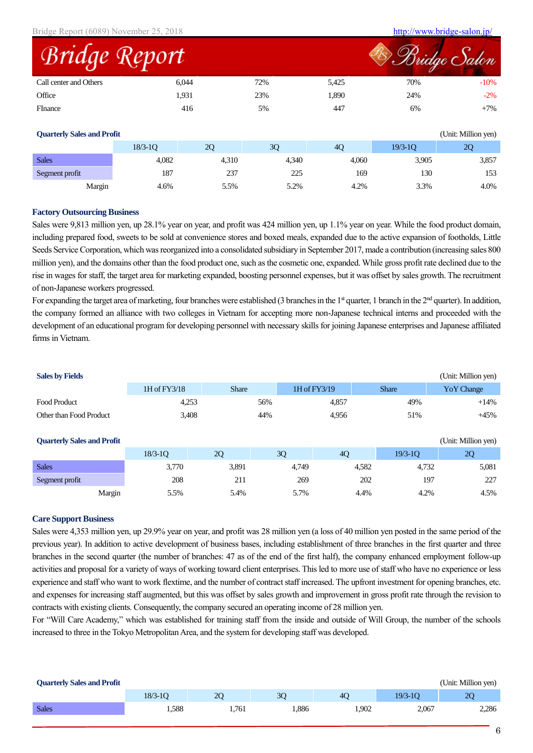| Bridge Report (6089) November 25, 2018 |       |     |       | http://www.bridge-salon.jp/ |              |
|----------------------------------------|-------|-----|-------|-----------------------------|--------------|
| Bridge Report                          |       |     |       |                             | Bridge Salon |
| Call center and Others                 | 6.044 | 72% | 5.425 | 70%                         | $-10%$       |
| Office                                 | 1,931 | 23% | 1,890 | 24%                         | $-2%$        |
| <b>FInance</b>                         | 416   | 5%  | 447   | 6%                          | $+7\%$       |

| <b>Quarterly Sales and Profit</b> |             |       |       |       |             | (Unit: Million yen) |
|-----------------------------------|-------------|-------|-------|-------|-------------|---------------------|
|                                   | $18/3 - 10$ | 2Q    | 3Q    | 4Q    | $19/3 - 10$ | 20                  |
| <b>Sales</b>                      | 4,082       | 4,310 | 4,340 | 4,060 | 3,905       | 3,857               |
| Segment profit                    | 187         | 237   | 225   | 169   | 130         | 153                 |
| Margin                            | 4.6%        | 5.5%  | 5.2%  | 4.2%  | 3.3%        | 4.0%                |

#### **Factory Outsourcing Business**

Sales were 9,813 million yen, up 28.1% year on year, and profit was 424 million yen, up 1.1% year on year. While the food product domain, including prepared food, sweets to be sold at convenience stores and boxed meals, expanded due to the active expansion of footholds, Little Seeds Service Corporation, which was reorganized into a consolidated subsidiary in September 2017, made a contribution (increasing sales 800 million yen), and the domains other than the food product one, such as the cosmetic one, expanded. While gross profit rate declined due to the rise in wages for staff, the target area for marketing expanded, boosting personnel expenses, but it was offset by sales growth. The recruitment of non-Japanese workers progressed.

For expanding the target area of marketing, four branches were established (3 branches in the  $1<sup>st</sup>$  quarter, 1 branch in the  $2<sup>nd</sup>$  quarter). In addition, the company formed an alliance with two colleges in Vietnam for accepting more non-Japanese technical interns and proceeded with the development of an educational program for developing personnel with necessary skills for joining Japanese enterprises and Japanese affiliated firms in Vietnam.

| <b>Sales by Fields</b>            |              |              |       |              |              | (Unit: Million yen) |
|-----------------------------------|--------------|--------------|-------|--------------|--------------|---------------------|
|                                   | 1H of FY3/18 | <b>Share</b> |       | 1H of FY3/19 | <b>Share</b> | Yo Y Change         |
| <b>Food Product</b>               | 4,253        |              | 56%   | 4,857        | 49%          | $+14%$              |
| Other than Food Product           | 3,408        |              | 44%   | 4,956        | 51%          | $+45%$              |
|                                   |              |              |       |              |              |                     |
| <b>Quarterly Sales and Profit</b> |              |              |       |              |              | (Unit: Million yen) |
|                                   |              |              |       |              |              |                     |
|                                   | $18/3 - 10$  | 2Q           | 3Q    | 4Q           | $19/3-10$    | 2Q                  |
| <b>Sales</b>                      | 3,770        | 3,891        | 4,749 | 4,582        | 4,732        | 5,081               |
| Segment profit                    | 208          | 211          | 269   |              | 197<br>202   | 227                 |

#### **Care Support Business**

Sales were 4,353 million yen, up 29.9% year on year, and profit was 28 million yen (a loss of 40 million yen posted in the same period of the previous year). In addition to active development of business bases, including establishment of three branches in the first quarter and three branches in the second quarter (the number of branches: 47 as of the end of the first half), the company enhanced employment follow-up activities and proposal for a variety of ways of working toward client enterprises. This led to more use of staff who have no experience or less experience and staff who want to work flextime, and the number of contract staff increased. The upfront investment for opening branches, etc. and expenses for increasing staff augmented, but this was offset by sales growth and improvement in gross profit rate through the revision to contracts with existing clients. Consequently, the company secured an operating income of 28 million yen.

For "Will Care Academy," which was established for training staff from the inside and outside of Will Group, the number of the schools increased to three in the Tokyo Metropolitan Area, and the system for developing staff was developed.

| <b>Quarterly Sales and Profit</b> |             |       |       |                |             | (Unit: Million yen) |
|-----------------------------------|-------------|-------|-------|----------------|-------------|---------------------|
|                                   | $18/3 - 10$ | 20    | 30    | 4 <sub>O</sub> | $19/3 - 10$ | 20                  |
| <b>Sales</b>                      | 1,588       | 1.761 | 1,886 | 1.902          | 2,067       | 2,286               |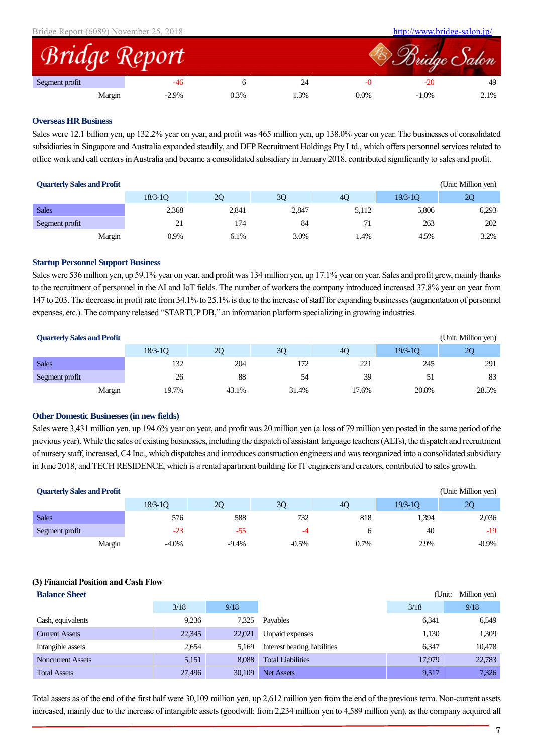| Bridge Report (6089) November 25, 2018 |                      |      |     |      |          | http://www.bridge-salon.jp/ |
|----------------------------------------|----------------------|------|-----|------|----------|-----------------------------|
|                                        | <b>Bridge Report</b> |      |     |      |          | Bridge Salon                |
| Segment profit                         |                      |      |     |      |          | 49                          |
|                                        | $-2.9%$<br>Margin    | 0.3% | .3% | 0.0% | $-1.0\%$ | 2.1%                        |

#### **Overseas HR Business**

Sales were 12.1 billion yen, up 132.2% year on year, and profit was 465 million yen, up 138.0% year on year. The businesses of consolidated subsidiaries in Singapore and Australia expanded steadily, and DFP Recruitment Holdings Pty Ltd., which offers personnel services related to office work and call centers in Australia and became a consolidated subsidiary in January 2018, contributed significantly to sales and profit.

| <b>Quarterly Sales and Profit</b> |        |             |       |       |       |             | (Unit: Million yen) |
|-----------------------------------|--------|-------------|-------|-------|-------|-------------|---------------------|
|                                   |        | $18/3 - 10$ | 2Q    | 3Q    | 40    | $19/3 - 10$ | 20                  |
| <b>Sales</b>                      |        | 2,368       | 2,841 | 2,847 | 5,112 | 5,806       | 6,293               |
| Segment profit                    |        | 21          | 174   | 84    | 71    | 263         | 202                 |
|                                   | Margin | 0.9%        | 6.1%  | 3.0%  | .4%   | 4.5%        | 3.2%                |

#### **Startup Personnel Support Business**

Sales were 536 million yen, up 59.1% year on year, and profit was 134 million yen, up 17.1% year on year. Sales and profit grew, mainly thanks to the recruitment of personnel in the AI and IoT fields. The number of workers the company introduced increased 37.8% year on year from 147 to 203. The decrease in profit rate from 34.1% to 25.1% is due to the increase of staff for expanding businesses (augmentation of personnel expenses, etc.). The company released "STARTUP DB," an information platform specializing in growing industries.

| <b>Quarterly Sales and Profit</b> |        |             |       |       |       |             | (Unit: Million yen) |
|-----------------------------------|--------|-------------|-------|-------|-------|-------------|---------------------|
|                                   |        | $18/3 - 10$ | 20    | 30    | 40    | $19/3 - 10$ | 20                  |
| <b>Sales</b>                      |        | 132         | 204   |       | 221   | 245         | 291                 |
| Segment profit                    |        | 26          | 88    | 54    | 39    | 51          | 83                  |
|                                   | Margin | 19.7%       | 43.1% | 31.4% | 17.6% | 20.8%       | 28.5%               |

#### **Other Domestic Businesses (in new fields)**

Sales were 3,431 million yen, up 194.6% year on year, and profit was 20 million yen (a loss of 79 million yen posted in the same period of the previous year). While the sales of existing businesses, including the dispatch of assistant language teachers (ALTs), the dispatch and recruitment of nursery staff, increased, C4 Inc., which dispatches and introduces construction engineers and was reorganized into a consolidated subsidiary in June 2018, and TECH RESIDENCE, which is a rental apartment building for IT engineers and creators, contributed to sales growth.

| <b>Quarterly Sales and Profit</b> |                    |         |         |           |             | (Unit: Million yen) |
|-----------------------------------|--------------------|---------|---------|-----------|-------------|---------------------|
|                                   | $18/3 - 10$        | 20      | 30      | <b>40</b> | $19/3 - 10$ | 20                  |
| <b>Sales</b>                      | 576                | 588     | 732     | 818       | 1,394       | 2,036               |
| Segment profit                    | $-23$              | $-55$   | -4      |           | 40          | $-19$               |
|                                   | $-4.0\%$<br>Margin | $-9.4%$ | $-0.5%$ | 0.7%      | 2.9%        | $-0.9\%$            |

### **(3) Financial Position and Cash Flow**

| <b>Balance Sheet</b>     |        |        |                              | (Unit: | Million yen) |
|--------------------------|--------|--------|------------------------------|--------|--------------|
|                          | 3/18   | 9/18   |                              | 3/18   | 9/18         |
| Cash, equivalents        | 9.236  | 7,325  | Payables                     | 6,341  | 6,549        |
| <b>Current Assets</b>    | 22,345 | 22,021 | <b>Unpaid expenses</b>       | 1,130  | 1,309        |
| Intangible assets        | 2,654  | 5,169  | Interest bearing liabilities | 6.347  | 10,478       |
| <b>Noncurrent Assets</b> | 5,151  | 8.088  | <b>Total Liabilities</b>     | 17.979 | 22,783       |
| <b>Total Assets</b>      | 27,496 | 30,109 | <b>Net Assets</b>            | 9,517  | 7,326        |

Total assets as of the end of the first half were 30,109 million yen, up 2,612 million yen from the end of the previous term. Non-current assets increased, mainly due to the increase of intangible assets (goodwill: from 2,234 million yen to 4,589 million yen), as the company acquired all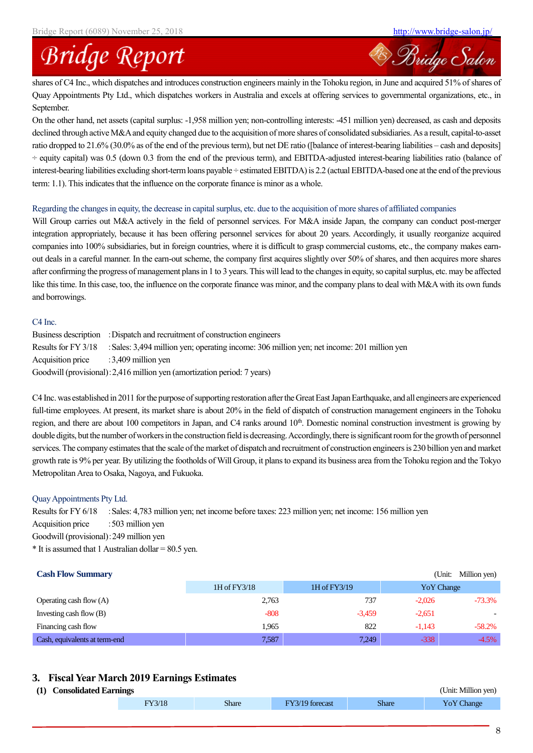<sup>28</sup> Bridge Salon

# **Bridge Report**

shares of C4 Inc., which dispatches and introduces construction engineers mainly in the Tohoku region, in June and acquired 51% of shares of Quay Appointments Pty Ltd., which dispatches workers in Australia and excels at offering services to governmental organizations, etc., in September.

On the other hand, net assets (capital surplus: -1,958 million yen; non-controlling interests: -451 million yen) decreased, as cash and deposits declined through active M&A and equity changed due to the acquisition of more shares of consolidated subsidiaries. As a result, capital-to-asset ratio dropped to 21.6% (30.0% as of the end of the previous term), but net DE ratio ([balance of interest-bearing liabilities – cash and deposits]  $\div$  equity capital) was 0.5 (down 0.3 from the end of the previous term), and EBITDA-adjusted interest-bearing liabilities ratio (balance of interest-bearing liabilities excluding short-term loans payable ÷ estimated EBITDA) is 2.2 (actual EBITDA-based one at the end of the previous term: 1.1). This indicates that the influence on the corporate finance is minor as a whole.

#### Regarding the changes in equity, the decrease in capital surplus, etc. due to the acquisition of more shares of affiliated companies

Will Group carries out M&A actively in the field of personnel services. For M&A inside Japan, the company can conduct post-merger integration appropriately, because it has been offering personnel services for about 20 years. Accordingly, it usually reorganize acquired companies into 100% subsidiaries, but in foreign countries, where it is difficult to grasp commercial customs, etc., the company makes earnout deals in a careful manner. In the earn-out scheme, the company first acquires slightly over 50% of shares, and then acquires more shares after confirming the progress of management plans in 1 to 3 years. This will lead to the changes in equity, so capital surplus, etc. may be affected like this time. In this case, too, the influence on the corporate finance was minor, and the company plans to deal with M&A with its own funds and borrowings.

### C4 Inc.

Business description :Dispatch and recruitment of construction engineers Results for FY 3/18 : Sales: 3,494 million yen; operating income: 306 million yen; net income: 201 million yen Acquisition price :3,409 million yen Goodwill (provisional):2,416 million yen (amortization period: 7 years)

C4 Inc. was established in 2011 for the purpose of supporting restoration after the Great East Japan Earthquake, and all engineers are experienced full-time employees. At present, its market share is about 20% in the field of dispatch of construction management engineers in the Tohoku region, and there are about 100 competitors in Japan, and C4 ranks around 10<sup>th</sup>. Domestic nominal construction investment is growing by double digits, but the number of workers in the construction field is decreasing. Accordingly, there is significant room for the growth of personnel services. The company estimates that the scale of the market of dispatch and recruitment of construction engineers is 230 billion yen and market growth rate is 9% per year. By utilizing the footholds of Will Group, it plans to expand its business area from the Tohoku region and the Tokyo Metropolitan Area to Osaka, Nagoya, and Fukuoka.

### Quay Appointments Pty Ltd.

Results for FY 6/18 : Sales: 4,783 million yen; net income before taxes: 223 million yen; net income: 156 million yen Acquisition price : 503 million yen Goodwill (provisional):249 million yen  $*$  It is assumed that 1 Australian dollar = 80.5 yen.

## **Cash Flow Summary** (Unit: Million yen) 1H of FY3/18 1H of FY3/19 YoY Change Operating cash flow (A) 2,763 737 -2,026 -73.3% Investing cash flow (B)  $-808$   $-3,459$   $-2,651$ Financing cash flow 58.2% and  $\frac{1,965}{2}$  822  $\frac{-1,143}{2}$  58.2% Cash, equivalents at term-end 2.587 7,249 -338 -4.5%

## **3. Fiscal Year March 2019 Earnings Estimates**

### **(1) Consolidated Earnings** (Unit: Million yen)

| . . | Consondance Earnings |       |          |              | $\overline{\mathbf{v}}$ |
|-----|----------------------|-------|----------|--------------|-------------------------|
|     |                      | Share | torecast | <b>Share</b> | <i>L</i> hange          |
|     |                      |       |          |              |                         |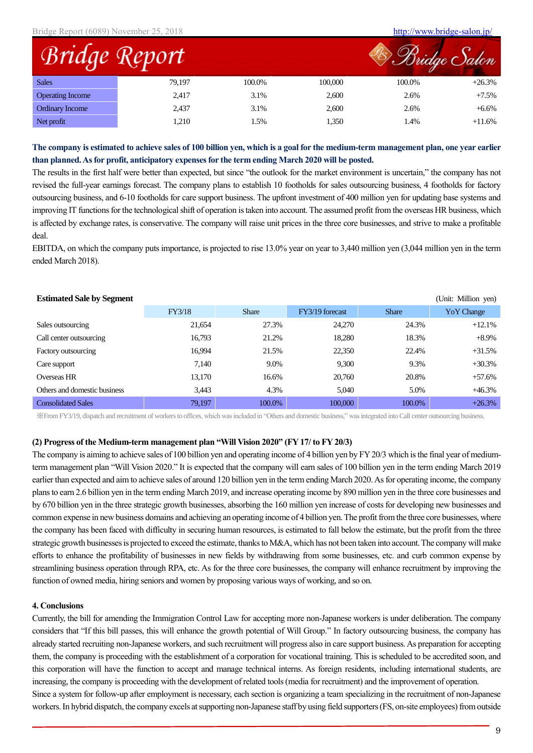|                         |        |        |         | ridge Salon |          |
|-------------------------|--------|--------|---------|-------------|----------|
| <b>Sales</b>            | 79,197 | 100.0% | 100,000 | 100.0%      | $+26.3%$ |
| <b>Operating Income</b> | 2,417  | 3.1%   | 2,600   | 2.6%        | $+7.5%$  |
| Ordinary Income         | 2,437  | 3.1%   | 2,600   | 2.6%        | $+6.6\%$ |
| Net profit              | 1,210  | 1.5%   | 1,350   | 1.4%        | $+11.6%$ |

### **The company is estimated to achieve sales of 100 billion yen, which is a goal for the medium-term management plan, one year earlier than planned. As for profit, anticipatory expenses for the term ending March 2020 will be posted.**

The results in the first half were better than expected, but since "the outlook for the market environment is uncertain," the company has not revised the full-year earnings forecast. The company plans to establish 10 footholds for sales outsourcing business, 4 footholds for factory outsourcing business, and 6-10 footholds for care support business. The upfront investment of 400 million yen for updating base systems and improving IT functions for the technological shift of operation is taken into account. The assumed profit from the overseas HR business, which is affected by exchange rates, is conservative. The company will raise unit prices in the three core businesses, and strive to make a profitable deal.

EBITDA, on which the company puts importance, is projected to rise 13.0% year on year to 3,440 million yen (3,044 million yen in the term ended March 2018).

| <b>Estimated Sale by Segment</b> |        |              |                 |              | (Unit: Million yen) |
|----------------------------------|--------|--------------|-----------------|--------------|---------------------|
|                                  | FY3/18 | <b>Share</b> | FY3/19 forecast | <b>Share</b> | Yo Y Change         |
| Sales outsourcing                | 21,654 | 27.3%        | 24,270          | 24.3%        | $+12.1%$            |
| Call center outsourcing          | 16.793 | 21.2%        | 18,280          | 18.3%        | $+8.9\%$            |
| Factory outsourcing              | 16,994 | 21.5%        | 22,350          | 22.4%        | $+31.5%$            |
| Care support                     | 7.140  | 9.0%         | 9.300           | 9.3%         | $+30.3%$            |
| Overseas HR                      | 13,170 | 16.6%        | 20,760          | 20.8%        | $+57.6%$            |
| Others and domestic business     | 3,443  | 4.3%         | 5.040           | 5.0%         | $+46.3%$            |
| <b>Consolidated Sales</b>        | 79,197 | 100.0%       | 100,000         | 100.0%       | $+26.3%$            |

※From FY3/19, dispatch and recruitment of workers to offices, which was included in "Others and domestic business," was integrated into Call center outsourcing business.

#### **(2) Progress of the Medium-term management plan "Will Vision 2020" (FY 17/ to FY 20/3)**

The company is aiming to achieve sales of 100 billion yen and operating income of 4 billion yen by FY 20/3 which is the final year of mediumterm management plan "Will Vision 2020." It is expected that the company will earn sales of 100 billion yen in the term ending March 2019 earlier than expected and aim to achieve sales of around 120 billion yen in the term ending March 2020. As for operating income, the company plans to earn 2.6 billion yen in the term ending March 2019, and increase operating income by 890 million yen in the three core businesses and by 670 billion yen in the three strategic growth businesses, absorbing the 160 million yen increase of costs for developing new businesses and common expense in new business domains and achieving an operating income of 4 billion yen. The profit from the three core businesses, where the company has been faced with difficulty in securing human resources, is estimated to fall below the estimate, but the profit from the three strategic growth businesses is projected to exceed the estimate, thanks to M&A, which has not been taken into account. The company will make efforts to enhance the profitability of businesses in new fields by withdrawing from some businesses, etc. and curb common expense by streamlining business operation through RPA, etc. As for the three core businesses, the company will enhance recruitment by improving the function of owned media, hiring seniors and women by proposing various ways of working, and so on.

#### **4. Conclusions**

Currently, the bill for amending the Immigration Control Law for accepting more non-Japanese workers is under deliberation. The company considers that "If this bill passes, this will enhance the growth potential of Will Group." In factory outsourcing business, the company has already started recruiting non-Japanese workers, and such recruitment will progress also in care support business. As preparation for accepting them, the company is proceeding with the establishment of a corporation for vocational training. This is scheduled to be accredited soon, and this corporation will have the function to accept and manage technical interns. As foreign residents, including international students, are increasing, the company is proceeding with the development of related tools (media for recruitment) and the improvement of operation.

Since a system for follow-up after employment is necessary, each section is organizing a team specializing in the recruitment of non-Japanese workers. In hybrid dispatch, the company excels at supporting non-Japanese staff by using field supporters (FS, on-site employees) from outside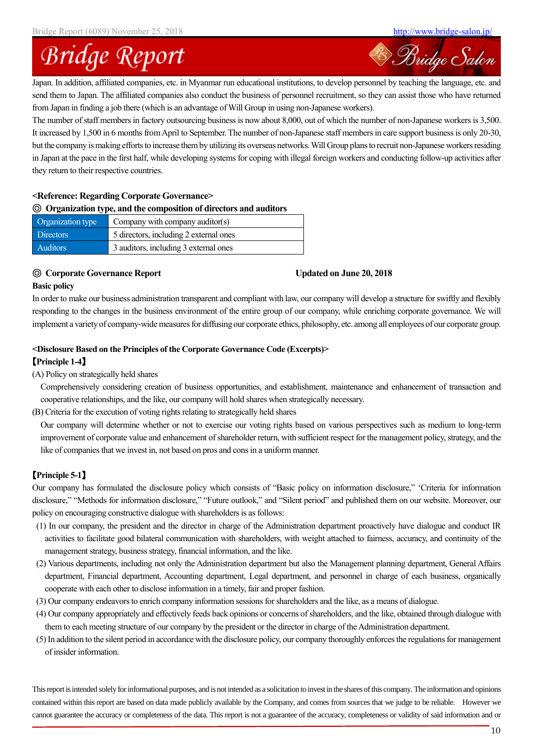Bridge Salon

# **Bridge Report**

Japan. In addition, affiliated companies, etc. in Myanmar run educational institutions, to develop personnel by teaching the language, etc. and send them to Japan. The affiliated companies also conduct the business of personnel recruitment, so they can assist those who have returned from Japan in finding a job there (which is an advantage of Will Group in using non-Japanese workers).

The number of staff members in factory outsourcing business is now about 8,000, out of which the number of non-Japanese workers is 3,500. It increased by 1,500 in 6 months from April to September. The number of non-Japanese staff members in care support business is only 20-30, but the company is making efforts to increase them by utilizing its overseas networks. Will Group plans to recruit non-Japanese workers residing in Japan at the pace in the first half, while developing systems for coping with illegal foreign workers and conducting follow-up activities after they return to their respective countries.

#### **<Reference: Regarding Corporate Governance>**

### ◎ **Organization type, and the composition of directors and auditors**

| Organization type     | Company with company auditor(s)        |
|-----------------------|----------------------------------------|
| Directors             | 5 directors, including 2 external ones |
| Auditors <sup>1</sup> | 3 auditors, including 3 external ones  |

#### ◎ **Corporate Governance Report Updated on June 20, 2018**

#### **Basic policy**

In order to make our business administration transparent and compliant with law, our company will develop a structure for swiftly and flexibly responding to the changes in the business environment of the entire group of our company, while enriching corporate governance. We will implement a variety of company-wide measures for diffusing our corporate ethics, philosophy, etc. among all employees of our corporate group.

#### **<Disclosure Based on the Principles of the Corporate Governance Code (Excerpts)>**

#### 【**Principle 1-4**】

#### (A) Policy on strategically held shares

Comprehensively considering creation of business opportunities, and establishment, maintenance and enhancement of transaction and cooperative relationships, and the like, our company will hold shares when strategically necessary.

(B) Criteria for the execution of voting rights relating to strategically held shares

Our company will determine whether or not to exercise our voting rights based on various perspectives such as medium to long-term improvement of corporate value and enhancement of shareholder return, with sufficient respect for the management policy, strategy, and the like of companies that we invest in, not based on pros and cons in a uniform manner.

### 【**Principle 5-1**】

Our company has formulated the disclosure policy which consists of "Basic policy on information disclosure," 'Criteria for information disclosure," "Methods for information disclosure," "Future outlook," and "Silent period" and published them on our website. Moreover, our policy on encouraging constructive dialogue with shareholders is as follows:

- (1) In our company, the president and the director in charge of the Administration department proactively have dialogue and conduct IR activities to facilitate good bilateral communication with shareholders, with weight attached to fairness, accuracy, and continuity of the management strategy, business strategy, financial information, and the like.
- (2) Various departments, including not only the Administration department but also the Management planning department, General Affairs department, Financial department, Accounting department, Legal department, and personnel in charge of each business, organically cooperate with each other to disclose information in a timely, fair and proper fashion.
- (3) Our company endeavors to enrich company information sessions for shareholders and the like, as a means of dialogue.
- (4) Our company appropriately and effectively feeds back opinions or concerns of shareholders, and the like, obtained through dialogue with them to each meeting structure of our company by the president or the director in charge of the Administration department.
- (5) In addition to the silent period in accordance with the disclosure policy, our company thoroughly enforces the regulations for management of insider information.

This report is intended solely for informational purposes, and is not intended as a solicitation to investin the shares of this company. The information and opinions contained within this report are based on data made publicly available by the Company, and comes from sources that we judge to be reliable. However we cannot guarantee the accuracy or completeness of the data. This report is not a guarantee of the accuracy, completeness or validity of said information and or